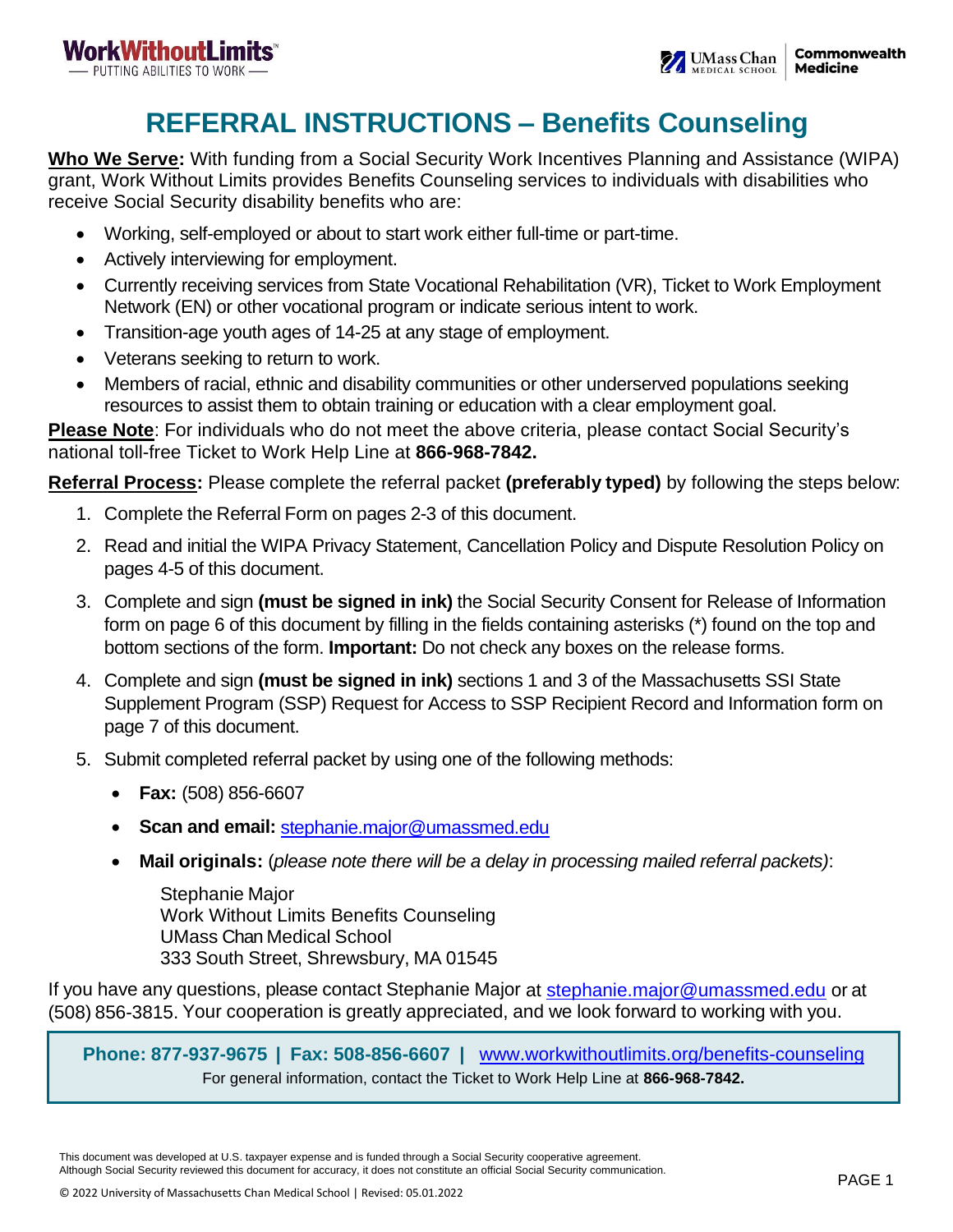# **REFERRAL INSTRUCTIONS – Benefits Counseling**

**Who We Serve:** With funding from a Social Security Work Incentives Planning and Assistance (WIPA) grant, Work Without Limits provides Benefits Counseling services to individuals with disabilities who receive Social Security disability benefits who are:

- Working, self-employed or about to start work either full-time or part-time.
- Actively interviewing for employment.
- Currently receiving services from State Vocational Rehabilitation (VR), Ticket to Work Employment Network (EN) or other vocational program or indicate serious intent to work.
- Transition-age youth ages of 14-25 at any stage of employment.
- Veterans seeking to return to work.
- Members of racial, ethnic and disability communities or other underserved populations seeking resources to assist them to obtain training or education with a clear employment goal.

**Please Note**: For individuals who do not meet the above criteria, please contact Social Security's national toll-free Ticket to Work Help Line at **866-968-7842.**

**Referral Process:** Please complete the referral packet **(preferably typed)** by following the steps below:

- 1. Complete the Referral Form on pages 2-3 of this document.
- 2. Read and initial the WIPA Privacy Statement, Cancellation Policy and Dispute Resolution Policy on pages 4-5 of this document.
- 3. Complete and sign **(must be signed in ink)** the Social Security Consent for Release of Information form on page 6 of this document by filling in the fields containing asterisks (\*) found on the top and bottom sections of the form. **Important:** Do not check any boxes on the release forms.
- 4. Complete and sign **(must be signed in ink)** sections 1 and 3 of the Massachusetts SSI State Supplement Program (SSP) Request for Access to SSP Recipient Record and Information form on page 7 of this document.
- 5. Submit completed referral packet by using one of the following methods:
	- **Fax:** (508) 856-6607
	- **Scan and email:** [stephanie.major@umassmed.edu](mailto:stephanie.major@umassmed.edu)
	- **Mail originals:** (*please note there will be a delay in processing mailed referral packets)*:

Stephanie Major Work Without Limits Benefits Counseling UMass Chan Medical School 333 South Street, Shrewsbury, MA 01545

If you have any questions, please contact Stephanie Major at [stephanie.major@umassmed.edu](mailto:stephanie.major@umassmed.edu) or at (508) 856-3815. Your cooperation is greatly appreciated, and we look forward to working with you.

**Phone: 877-937-9675 | Fax: 508-856-6607 |** [www.workwithoutlimits.org/benefits-counseling](https://workwithoutlimits.org/benefits-counseling/) For general information, contact the Ticket to Work Help Line at **866-968-7842.**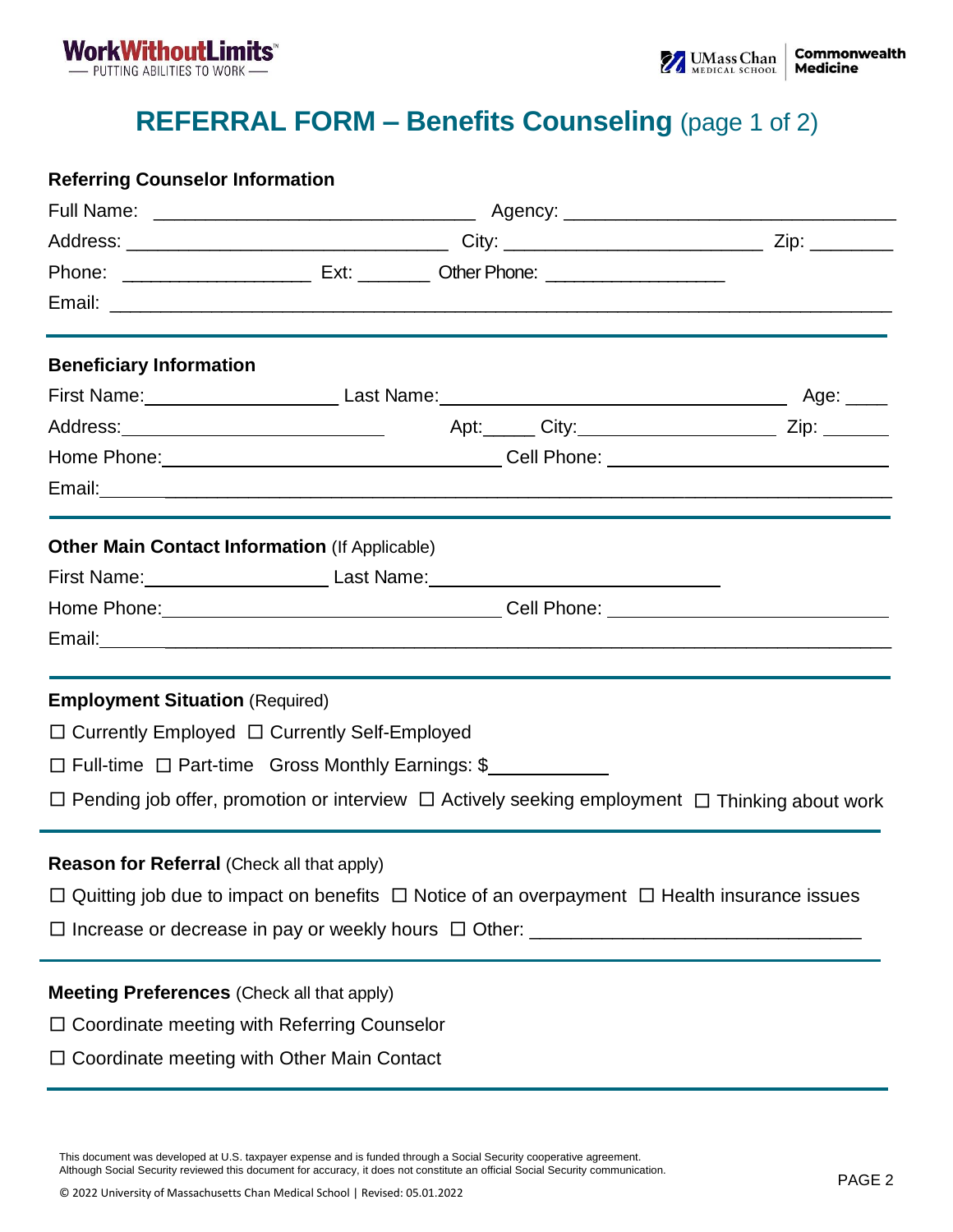

## **REFERRAL FORM – Benefits Counseling** (page 1 of 2)

#### **Referring Counselor Information**

| <b>Beneficiary Information</b>                                                                               |  |                                                                                                                |
|--------------------------------------------------------------------------------------------------------------|--|----------------------------------------------------------------------------------------------------------------|
|                                                                                                              |  |                                                                                                                |
|                                                                                                              |  |                                                                                                                |
|                                                                                                              |  |                                                                                                                |
|                                                                                                              |  |                                                                                                                |
| <b>Other Main Contact Information (If Applicable)</b>                                                        |  |                                                                                                                |
| First Name: _____________________________Last Name: ____________________________                             |  |                                                                                                                |
|                                                                                                              |  |                                                                                                                |
|                                                                                                              |  |                                                                                                                |
| <b>Employment Situation (Required)</b>                                                                       |  |                                                                                                                |
| □ Currently Employed □ Currently Self-Employed                                                               |  |                                                                                                                |
| □ Full-time □ Part-time Gross Monthly Earnings: \$                                                           |  |                                                                                                                |
|                                                                                                              |  | $\Box$ Pending job offer, promotion or interview $\Box$ Actively seeking employment $\Box$ Thinking about work |
| <b>Reason for Referral (Check all that apply)</b>                                                            |  |                                                                                                                |
| $\Box$ Quitting job due to impact on benefits $\Box$ Notice of an overpayment $\Box$ Health insurance issues |  |                                                                                                                |
|                                                                                                              |  |                                                                                                                |
| <b>Meeting Preferences (Check all that apply)</b>                                                            |  |                                                                                                                |
| $\Box$ Coordinate meeting with Referring Counselor                                                           |  |                                                                                                                |
| Coordinate meeting with Other Main Contact                                                                   |  |                                                                                                                |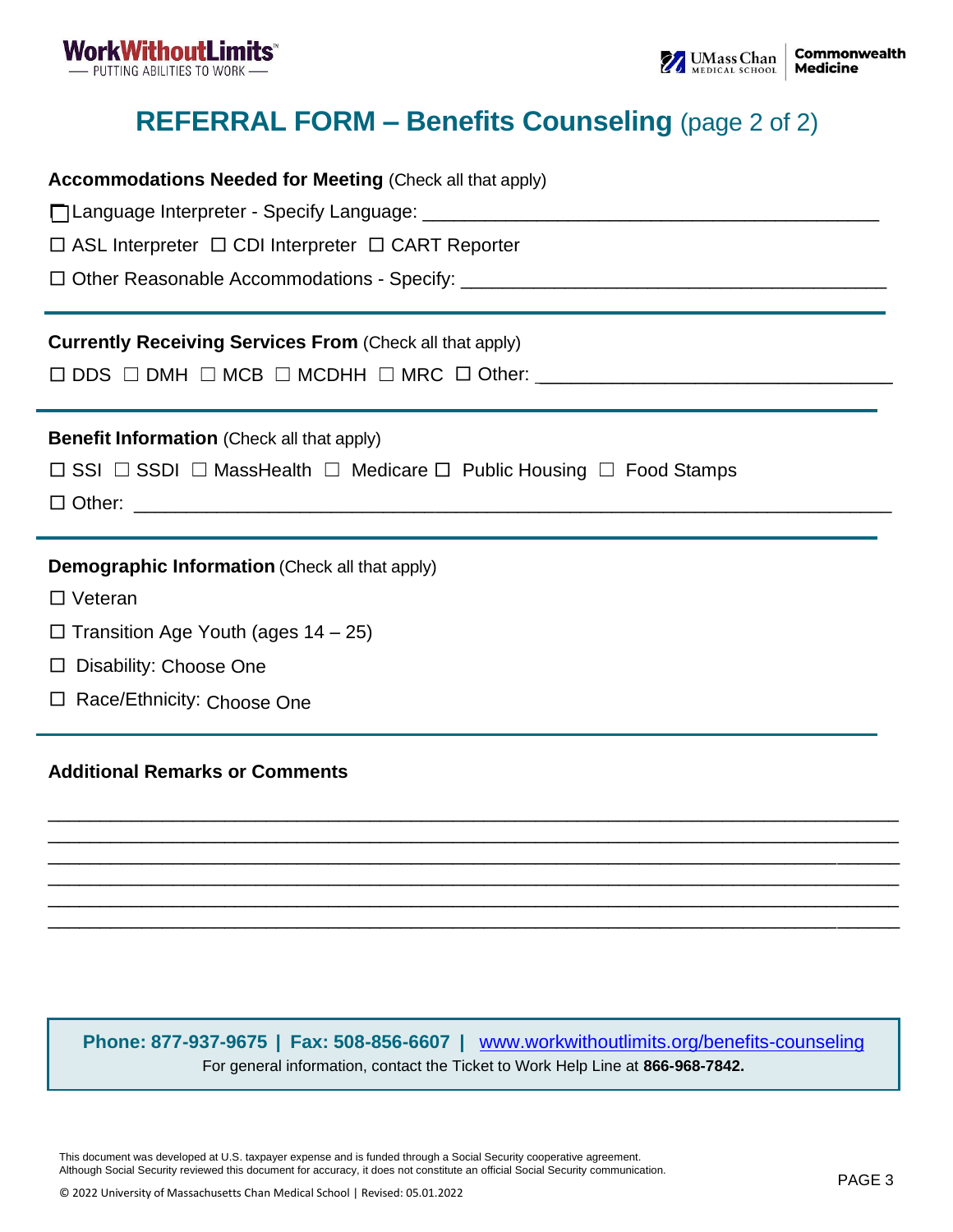

# **REFERRAL FORM – Benefits Counseling** (page 2 of 2)

| <b>Accommodations Needed for Meeting (Check all that apply)</b>                                   |
|---------------------------------------------------------------------------------------------------|
|                                                                                                   |
| $\Box$ ASL Interpreter $\Box$ CDI Interpreter $\Box$ CART Reporter                                |
|                                                                                                   |
| <b>Currently Receiving Services From (Check all that apply)</b>                                   |
|                                                                                                   |
| <b>Benefit Information</b> (Check all that apply)                                                 |
| $\Box$ SSI $\Box$ SSDI $\Box$ MassHealth $\Box$ Medicare $\Box$ Public Housing $\Box$ Food Stamps |
|                                                                                                   |
| <b>Demographic Information (Check all that apply)</b>                                             |
| $\Box$ Veteran                                                                                    |
| $\Box$ Transition Age Youth (ages 14 – 25)                                                        |
| $\Box$ Disability: Choose One                                                                     |
| □ Race/Ethnicity: Choose One                                                                      |
|                                                                                                   |

### **Additional Remarks or Comments**

**Phone: 877-937-9675 | Fax: 508-856-6607 |** [www.workwithoutlimits.org/benefits-counseling](https://workwithoutlimits.org/benefits-counseling/) For general information, contact the Ticket to Work Help Line at **866-968-7842.**

\_\_\_\_\_\_\_\_\_\_\_\_\_\_\_\_\_\_\_\_\_\_\_\_\_\_\_\_\_\_\_\_\_\_\_\_\_\_\_\_\_\_\_\_\_\_\_\_\_\_\_\_\_\_\_\_\_\_\_\_\_\_\_\_\_\_\_\_\_\_\_\_\_\_\_\_\_\_\_\_\_\_ \_\_\_\_\_\_\_\_\_\_\_\_\_\_\_\_\_\_\_\_\_\_\_\_\_\_\_\_\_\_\_\_\_\_\_\_\_\_\_\_\_\_\_\_\_\_\_\_\_\_\_\_\_\_\_\_\_\_\_\_\_\_\_\_\_\_\_\_\_\_\_\_\_\_\_\_\_\_\_\_\_\_ \_\_\_\_\_\_\_\_\_\_\_\_\_\_\_\_\_\_\_\_\_\_\_\_\_\_\_\_\_\_\_\_\_\_\_\_\_\_\_\_\_\_\_\_\_\_\_\_\_\_\_\_\_\_\_\_\_\_\_\_\_\_\_\_\_\_\_\_\_\_\_\_\_\_\_\_\_\_\_\_\_\_ \_\_\_\_\_\_\_\_\_\_\_\_\_\_\_\_\_\_\_\_\_\_\_\_\_\_\_\_\_\_\_\_\_\_\_\_\_\_\_\_\_\_\_\_\_\_\_\_\_\_\_\_\_\_\_\_\_\_\_\_\_\_\_\_\_\_\_\_\_\_\_\_\_\_\_\_\_\_\_\_\_\_ \_\_\_\_\_\_\_\_\_\_\_\_\_\_\_\_\_\_\_\_\_\_\_\_\_\_\_\_\_\_\_\_\_\_\_\_\_\_\_\_\_\_\_\_\_\_\_\_\_\_\_\_\_\_\_\_\_\_\_\_\_\_\_\_\_\_\_\_\_\_\_\_\_\_\_\_\_\_\_\_\_\_ \_\_\_\_\_\_\_\_\_\_\_\_\_\_\_\_\_\_\_\_\_\_\_\_\_\_\_\_\_\_\_\_\_\_\_\_\_\_\_\_\_\_\_\_\_\_\_\_\_\_\_\_\_\_\_\_\_\_\_\_\_\_\_\_\_\_\_\_\_\_\_\_\_\_\_\_\_\_\_\_\_\_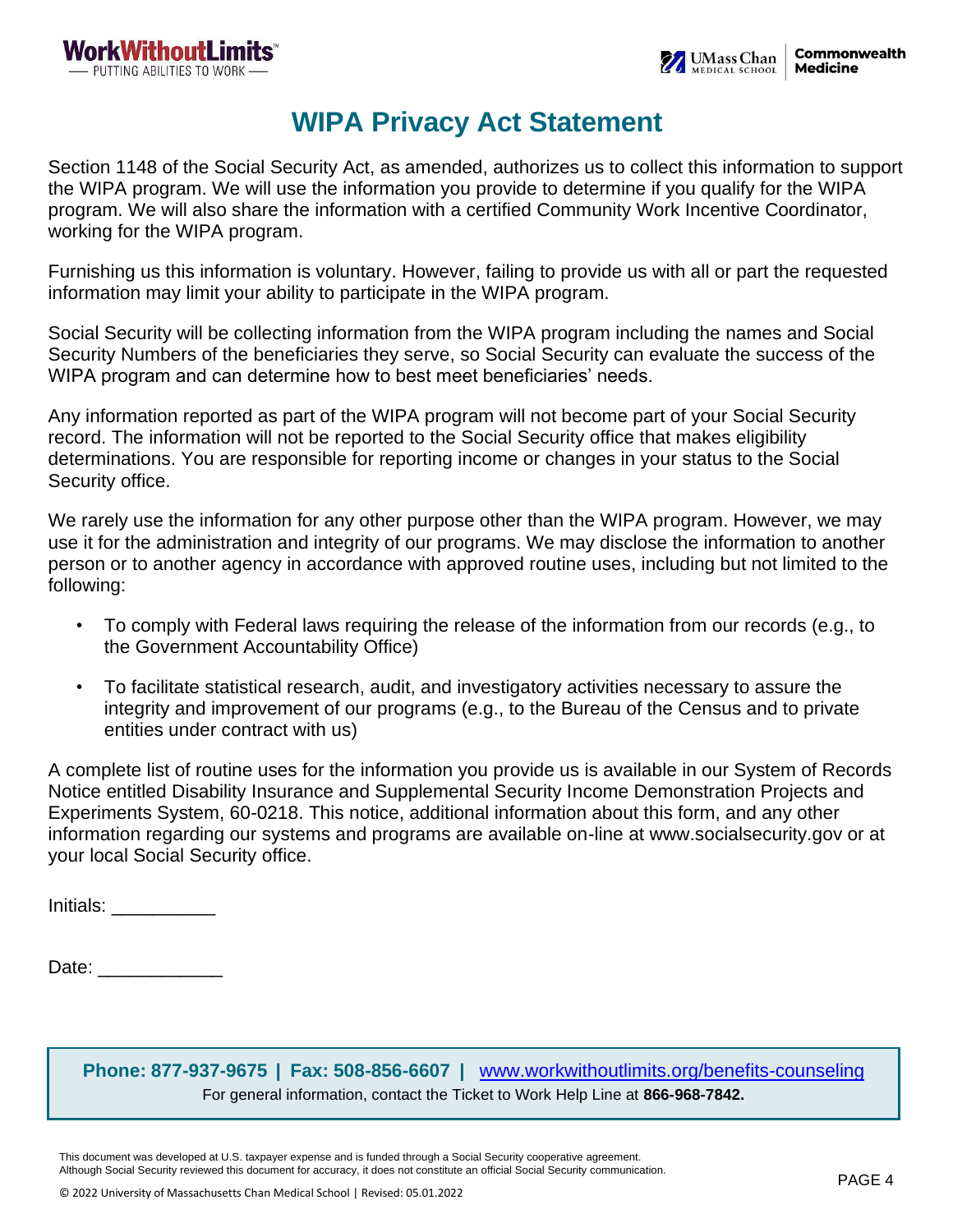### **WIPA Privacy Act Statement**

Section 1148 of the Social Security Act, as amended, authorizes us to collect this information to support the WIPA program. We will use the information you provide to determine if you qualify for the WIPA program. We will also share the information with a certified Community Work Incentive Coordinator, working for the WIPA program.

Furnishing us this information is voluntary. However, failing to provide us with all or part the requested information may limit your ability to participate in the WIPA program.

Social Security will be collecting information from the WIPA program including the names and Social Security Numbers of the beneficiaries they serve, so Social Security can evaluate the success of the WIPA program and can determine how to best meet beneficiaries' needs.

Any information reported as part of the WIPA program will not become part of your Social Security record. The information will not be reported to the Social Security office that makes eligibility determinations. You are responsible for reporting income or changes in your status to the Social Security office.

We rarely use the information for any other purpose other than the WIPA program. However, we may use it for the administration and integrity of our programs. We may disclose the information to another person or to another agency in accordance with approved routine uses, including but not limited to the following:

- To comply with Federal laws requiring the release of the information from our records (e.g., to the Government Accountability Office)
- To facilitate statistical research, audit, and investigatory activities necessary to assure the integrity and improvement of our programs (e.g., to the Bureau of the Census and to private entities under contract with us)

A complete list of routine uses for the information you provide us is available in our System of Records Notice entitled Disability Insurance and Supplemental Security Income Demonstration Projects and Experiments System, 60-0218. This notice, additional information about this form, and any other information regarding our systems and programs are available on-line at www.socialsecurity.gov or at your local Social Security office.

Initials: \_\_\_\_\_\_\_\_\_\_

Date: \_\_\_\_\_\_\_\_\_\_\_\_

**Phone: 877-937-9675 | Fax: 508-856-6607 |** [www.workwithoutlimits.org/benefits-counseling](https://workwithoutlimits.org/benefits-counseling/) For general information, contact the Ticket to Work Help Line at **866-968-7842.**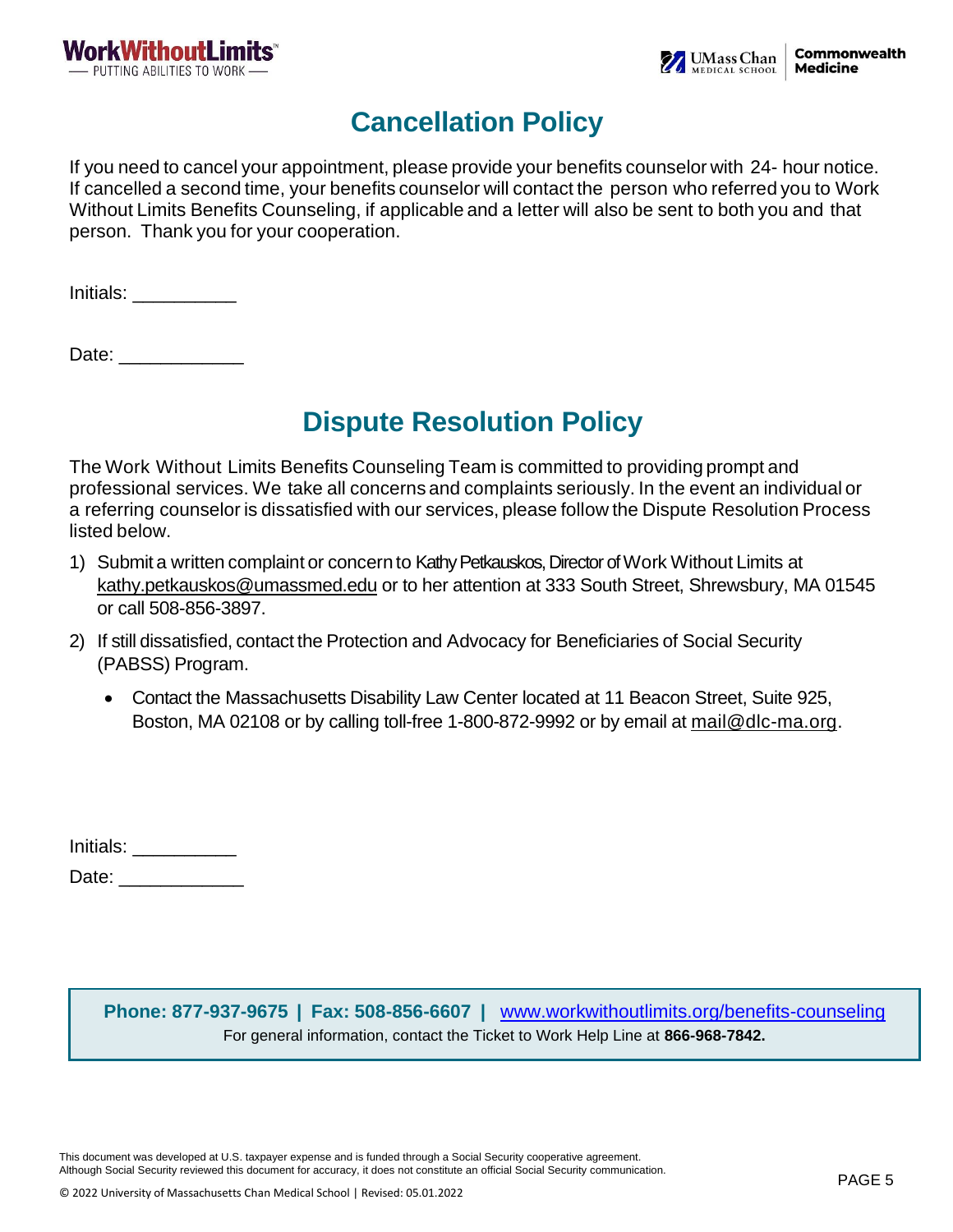

## **Cancellation Policy**

If you need to cancel your appointment, please provide your benefits counselor with 24- hour notice. If cancelled a second time, your benefits counselor will contact the person who referred you to Work Without Limits Benefits Counseling, if applicable and a letter will also be sent to both you and that person. Thank you for your cooperation.

Initials: \_\_\_\_\_\_\_\_\_\_

Date:

## **Dispute Resolution Policy**

The Work Without Limits Benefits Counseling Team is committed to providing prompt and professional services. We take all concerns and complaints seriously. In the event an individual or a referring counselor is dissatisfied with our services, please follow the Dispute Resolution Process listed below.

- 1) Submit a written complaint or concern to Kathy Petkauskos, Director of Work Without Limits at [kathy.petkauskos@umassmed.edu](mailto:kathy.petkauskos@umassmed.edu) or to her attention at 333 South Street, Shrewsbury, MA 01545 or call 508-856-3897.
- 2) If still dissatisfied, contact the Protection and Advocacy for Beneficiaries of Social Security (PABSS) Program.
	- Contact the Massachusetts Disability Law Center located at 11 Beacon Street, Suite 925, Boston, MA 02108 or by calling toll-free 1-800-872-9992 or by email at [mail@dlc-ma.org.](mailto:mail@dlc-ma.org)

| Initials: |  |
|-----------|--|
| Date:     |  |

**Phone: 877-937-9675 | Fax: 508-856-6607 |** [www.workwithoutlimits.org/benefits-counseling](https://workwithoutlimits.org/benefits-counseling/) For general information, contact the Ticket to Work Help Line at **866-968-7842.**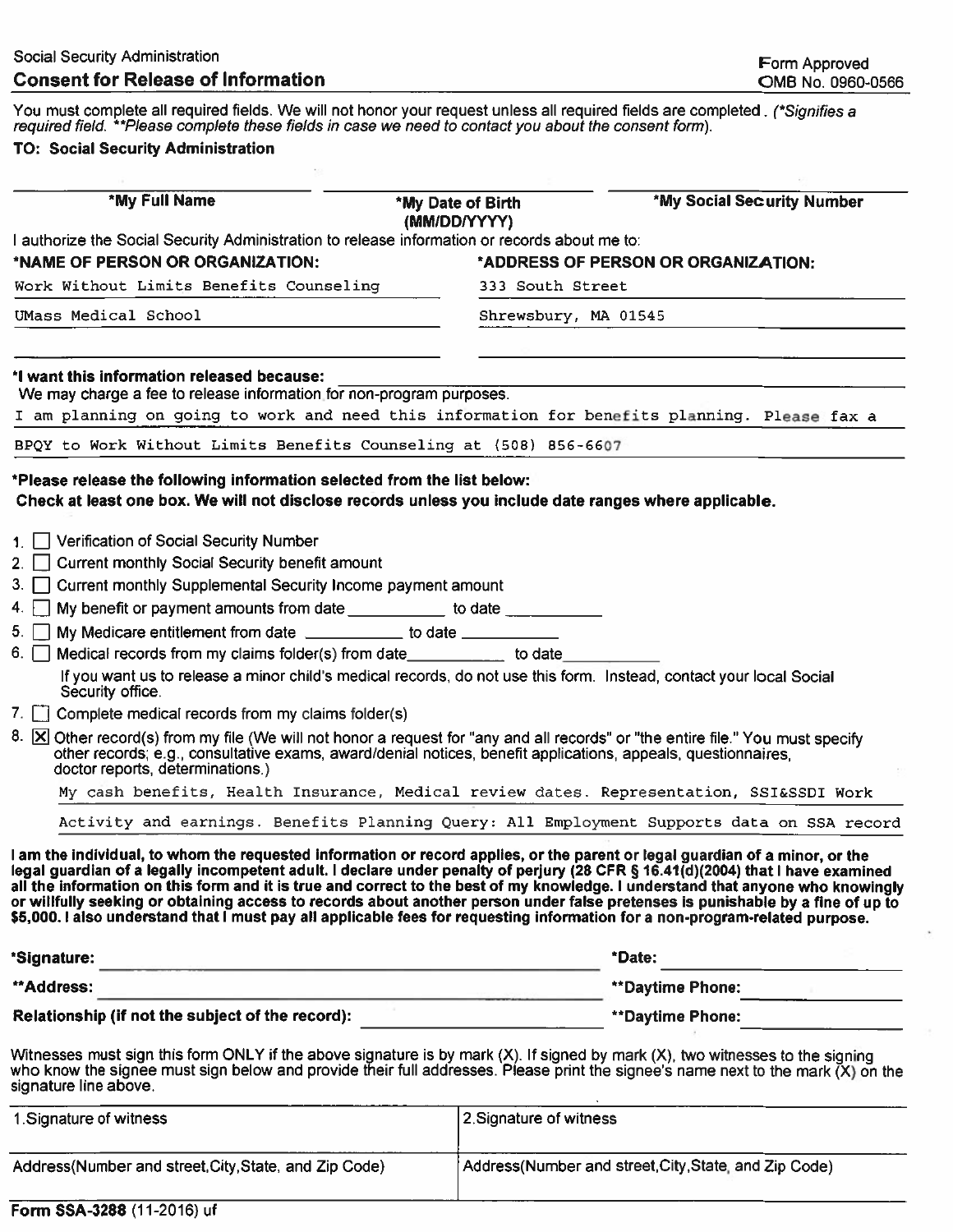You must complete all required fields. We will not honor your request unless all required fields are completed. (\*Signifies a required field. \*\*Please complete these fields in case we need to contact you about the consent

#### **TO: Social Security Administration**

| *My Full Name                                                                                                                                                                                                                                                                                                                                                                                                                                                                                                                                                                                                                                                                                                                                                                                                                                                                                                                                                                                                                                                                                                               | *My Date of Birth<br>(MM/DD/YYYY) | <b>*My Social Security Number</b>   |
|-----------------------------------------------------------------------------------------------------------------------------------------------------------------------------------------------------------------------------------------------------------------------------------------------------------------------------------------------------------------------------------------------------------------------------------------------------------------------------------------------------------------------------------------------------------------------------------------------------------------------------------------------------------------------------------------------------------------------------------------------------------------------------------------------------------------------------------------------------------------------------------------------------------------------------------------------------------------------------------------------------------------------------------------------------------------------------------------------------------------------------|-----------------------------------|-------------------------------------|
| I authorize the Social Security Administration to release information or records about me to:                                                                                                                                                                                                                                                                                                                                                                                                                                                                                                                                                                                                                                                                                                                                                                                                                                                                                                                                                                                                                               |                                   |                                     |
| *NAME OF PERSON OR ORGANIZATION:                                                                                                                                                                                                                                                                                                                                                                                                                                                                                                                                                                                                                                                                                                                                                                                                                                                                                                                                                                                                                                                                                            |                                   | *ADDRESS OF PERSON OR ORGANIZATION: |
| Work Without Limits Benefits Counseling                                                                                                                                                                                                                                                                                                                                                                                                                                                                                                                                                                                                                                                                                                                                                                                                                                                                                                                                                                                                                                                                                     | 333 South Street                  |                                     |
| UMass Medical School                                                                                                                                                                                                                                                                                                                                                                                                                                                                                                                                                                                                                                                                                                                                                                                                                                                                                                                                                                                                                                                                                                        | Shrewsbury, MA 01545              |                                     |
| *I want this information released because:<br>We may charge a fee to release information for non-program purposes.<br>I am planning on going to work and need this information for benefits planning. Please fax a                                                                                                                                                                                                                                                                                                                                                                                                                                                                                                                                                                                                                                                                                                                                                                                                                                                                                                          |                                   |                                     |
| BPQY to Work Without Limits Benefits Counseling at (508) 856-6607                                                                                                                                                                                                                                                                                                                                                                                                                                                                                                                                                                                                                                                                                                                                                                                                                                                                                                                                                                                                                                                           |                                   |                                     |
| *Please release the following information selected from the list below:<br>Check at least one box. We will not disclose records unless you include date ranges where applicable.                                                                                                                                                                                                                                                                                                                                                                                                                                                                                                                                                                                                                                                                                                                                                                                                                                                                                                                                            |                                   |                                     |
| 1. Verification of Social Security Number<br>2. Current monthly Social Security benefit amount<br>3. Current monthly Supplemental Security Income payment amount<br>4. My benefit or payment amounts from date _____________ to date ___________<br>My Medicare entitlement from date _____________ to date ___________<br>5. I<br>Medical records from my claims folder(s) from date__________ to date______<br>6. $ $  <br>If you want us to release a minor child's medical records, do not use this form. Instead, contact your local Social<br>Security office.<br>7. $\Box$ Complete medical records from my claims folder(s)<br>8. <b>X</b> Other record(s) from my file (We will not honor a request for "any and all records" or "the entire file." You must specify<br>other records; e.g., consultative exams, award/denial notices, benefit applications, appeals, questionnaires,<br>doctor reports, determinations.)<br>My cash benefits, Health Insurance, Medical review dates. Representation, SSI&SSDI Work<br>Activity and earnings. Benefits Planning Query: All Employment Supports data on SSA record |                                   |                                     |
| I am the individual, to whom the requested information or record applies, or the parent or legal guardian of a minor, or the<br>legal guardian of a legally incompetent adult. I declare under penalty of perjury (28 CFR § 16.41(d)(2004) that I have examined<br>all the information on this form and it is true and correct to the best of my knowledge. I understand that anyone who knowingly<br>or willfully seeking or obtaining access to records about another person under false pretenses is punishable by a fine of up to<br>\$5,000. I also understand that I must pay all applicable fees for requesting information for a non-program-related purpose.                                                                                                                                                                                                                                                                                                                                                                                                                                                       |                                   | *Date:                              |
| *Signature:<br><u> 1988 - An Aonaichte ann an Cathair ann an Cathair ann an C</u>                                                                                                                                                                                                                                                                                                                                                                                                                                                                                                                                                                                                                                                                                                                                                                                                                                                                                                                                                                                                                                           |                                   |                                     |
| **Address:<br><u> 1980 - Antonio Antonio Antonio I</u>                                                                                                                                                                                                                                                                                                                                                                                                                                                                                                                                                                                                                                                                                                                                                                                                                                                                                                                                                                                                                                                                      | **Daytime Phone:                  |                                     |
| Relationship (if not the subject of the record):                                                                                                                                                                                                                                                                                                                                                                                                                                                                                                                                                                                                                                                                                                                                                                                                                                                                                                                                                                                                                                                                            | **Daytime Phone:                  |                                     |
| Witnesses must sign this form ONLY if the above signature is by mark (X). If signed by mark (X), two witnesses to the signing<br>who know the signee must sign below and provide their full addresses. Please print the signee's name next to the mark (X) on the<br>signature line above.                                                                                                                                                                                                                                                                                                                                                                                                                                                                                                                                                                                                                                                                                                                                                                                                                                  |                                   |                                     |

| 1. Signature of witness                                | 2. Signature of witness                               |
|--------------------------------------------------------|-------------------------------------------------------|
| Address (Number and street, City, State, and Zip Code) | Address(Number and street, City, State, and Zip Code) |